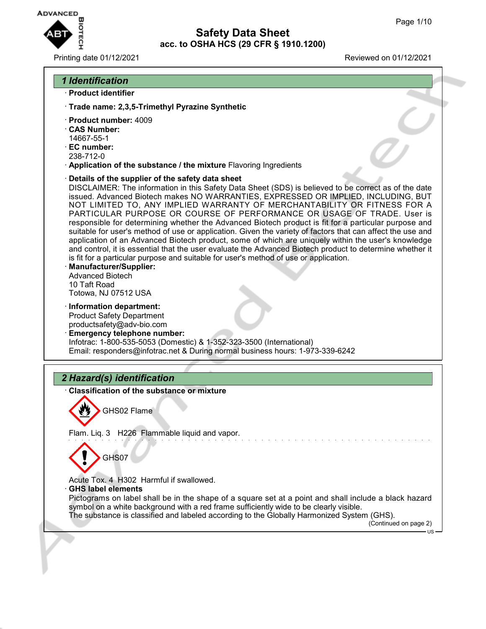

#### Printing date 01/12/2021 Reviewed on 01/12/2021

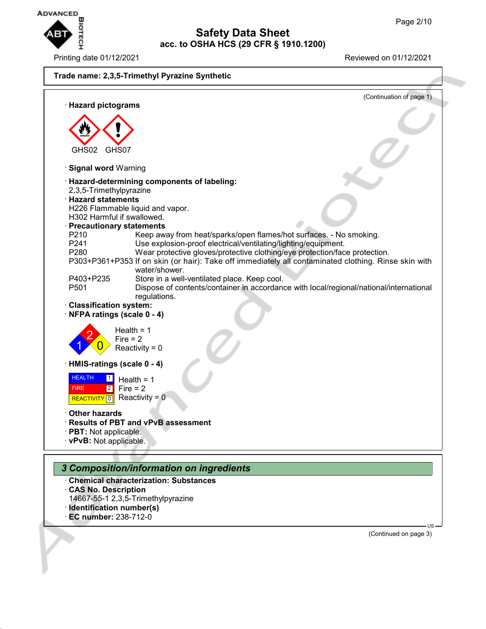

Printing date 01/12/2021 Reviewed on 01/12/2021



- · **CAS No. Description**
- 14667-55-1 2,3,5-Trimethylpyrazine
- · **Identification number(s)**
- · **EC number:** 238-712-0

(Continued on page 3)

US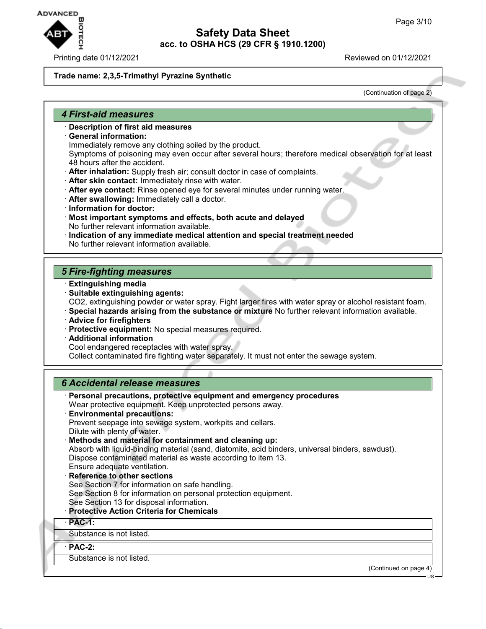

#### Printing date 01/12/2021 **Printing date 01/12/2021**

#### **Trade name: 2,3,5-Trimethyl Pyrazine Synthetic**

(Continuation of page 2)

#### *4 First-aid measures*

- · **Description of first aid measures**
- · **General information:**
	- Immediately remove any clothing soiled by the product.

Symptoms of poisoning may even occur after several hours; therefore medical observation for at least 48 hours after the accident.

- · **After inhalation:** Supply fresh air; consult doctor in case of complaints.
- · **After skin contact:** Immediately rinse with water.
- · **After eye contact:** Rinse opened eye for several minutes under running water.
- · **After swallowing:** Immediately call a doctor.
- · **Information for doctor:**
- · **Most important symptoms and effects, both acute and delayed** No further relevant information available.
- · **Indication of any immediate medical attention and special treatment needed** No further relevant information available.

## *5 Fire-fighting measures*

- · **Extinguishing media**
- · **Suitable extinguishing agents:** CO2, extinguishing powder or water spray. Fight larger fires with water spray or alcohol resistant foam.
- · **Special hazards arising from the substance or mixture** No further relevant information available.
- · **Advice for firefighters**
- · **Protective equipment:** No special measures required.
- · **Additional information**

Cool endangered receptacles with water spray.

Collect contaminated fire fighting water separately. It must not enter the sewage system.

## *6 Accidental release measures*

| · Personal precautions, protective equipment and emergency procedures<br>Wear protective equipment. Keep unprotected persons away.<br><b>Environmental precautions:</b><br>Prevent seepage into sewage system, workpits and cellars.<br>Dilute with plenty of water.<br>· Methods and material for containment and cleaning up:<br>Absorb with liquid-binding material (sand, diatomite, acid binders, universal binders, sawdust).<br>Dispose contaminated material as waste according to item 13. |
|-----------------------------------------------------------------------------------------------------------------------------------------------------------------------------------------------------------------------------------------------------------------------------------------------------------------------------------------------------------------------------------------------------------------------------------------------------------------------------------------------------|
| Ensure adequate ventilation.                                                                                                                                                                                                                                                                                                                                                                                                                                                                        |
| Reference to other sections                                                                                                                                                                                                                                                                                                                                                                                                                                                                         |
| See Section 7 for information on safe handling.                                                                                                                                                                                                                                                                                                                                                                                                                                                     |
| See Section 8 for information on personal protection equipment.                                                                                                                                                                                                                                                                                                                                                                                                                                     |
| See Section 13 for disposal information.                                                                                                                                                                                                                                                                                                                                                                                                                                                            |
| · Protective Action Criteria for Chemicals                                                                                                                                                                                                                                                                                                                                                                                                                                                          |
| $·$ PAC-1:                                                                                                                                                                                                                                                                                                                                                                                                                                                                                          |
| Substance is not listed.                                                                                                                                                                                                                                                                                                                                                                                                                                                                            |
| $·$ PAC-2:                                                                                                                                                                                                                                                                                                                                                                                                                                                                                          |
| Substance is not listed.                                                                                                                                                                                                                                                                                                                                                                                                                                                                            |

(Continued on page 4)

US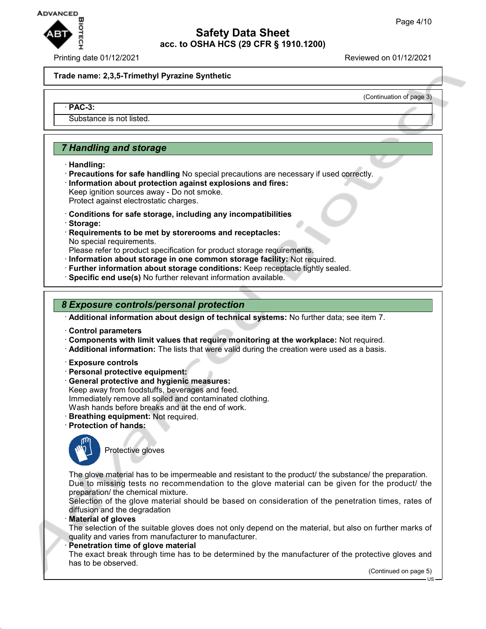

#### Printing date 01/12/2021 Reviewed on 01/12/2021

(Continuation of page 3)

#### **Trade name: 2,3,5-Trimethyl Pyrazine Synthetic**

#### · **PAC-3:**

Substance is not listed.

## *7 Handling and storage*

- · **Handling:**
- · **Precautions for safe handling** No special precautions are necessary if used correctly. · **Information about protection against explosions and fires:** Keep ignition sources away - Do not smoke.
- Protect against electrostatic charges.
- · **Conditions for safe storage, including any incompatibilities**
- · **Storage:**
- · **Requirements to be met by storerooms and receptacles:** No special requirements.
- Please refer to product specification for product storage requirements.
- · **Information about storage in one common storage facility:** Not required.
- · **Further information about storage conditions:** Keep receptacle tightly sealed.
- · **Specific end use(s)** No further relevant information available.

#### *8 Exposure controls/personal protection*

· **Additional information about design of technical systems:** No further data; see item 7.

- · **Control parameters**
- · **Components with limit values that require monitoring at the workplace:** Not required.
- · **Additional information:** The lists that were valid during the creation were used as a basis.
- · **Exposure controls**
- · **Personal protective equipment:**
- · **General protective and hygienic measures:** Keep away from foodstuffs, beverages and feed. Immediately remove all soiled and contaminated clothing. Wash hands before breaks and at the end of work.
- · **Breathing equipment:** Not required.
- 
- · **Protection of hands:**



Protective gloves

The glove material has to be impermeable and resistant to the product/ the substance/ the preparation. Due to missing tests no recommendation to the glove material can be given for the product/ the preparation/ the chemical mixture.

Selection of the glove material should be based on consideration of the penetration times, rates of diffusion and the degradation

· **Material of gloves**

The selection of the suitable gloves does not only depend on the material, but also on further marks of quality and varies from manufacturer to manufacturer.

**Penetration time of glove material** 

The exact break through time has to be determined by the manufacturer of the protective gloves and has to be observed.

(Continued on page 5)

US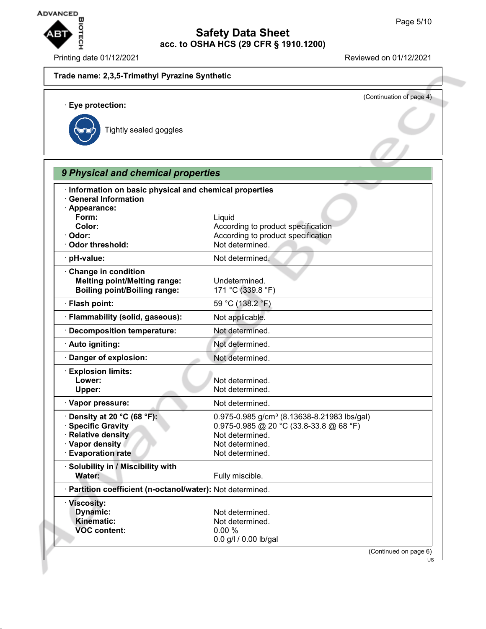

# **Safety Data Sheet acc. to OSHA HCS (29 CFR § 1910.1200)** Page 5/10<br>
Page 5/10<br>
Printing date 01/12/2021<br>
Printing date 01/12/2021<br>
Printing date 01/12/2021

|                                                                                     | (Continuation of page 4)                                |
|-------------------------------------------------------------------------------------|---------------------------------------------------------|
| · Eye protection:                                                                   |                                                         |
|                                                                                     |                                                         |
| Tightly sealed goggles                                                              |                                                         |
|                                                                                     |                                                         |
|                                                                                     |                                                         |
| 9 Physical and chemical properties                                                  |                                                         |
|                                                                                     |                                                         |
| Information on basic physical and chemical properties<br><b>General Information</b> |                                                         |
| · Appearance:                                                                       |                                                         |
| Form:                                                                               | Liquid                                                  |
| Color:                                                                              | According to product specification                      |
| · Odor:                                                                             | According to product specification                      |
| Odor threshold:                                                                     | Not determined.                                         |
| · pH-value:                                                                         | Not determined.                                         |
| Change in condition                                                                 |                                                         |
| <b>Melting point/Melting range:</b>                                                 | Undetermined.                                           |
| <b>Boiling point/Boiling range:</b>                                                 | 171 °C (339.8 °F)                                       |
| · Flash point:                                                                      | 59 °C (138.2 °F)                                        |
| · Flammability (solid, gaseous):                                                    | Not applicable.                                         |
| · Decomposition temperature:                                                        | Not determined.                                         |
| · Auto igniting:                                                                    | Not determined.                                         |
| Danger of explosion:                                                                | Not determined.                                         |
| <b>Explosion limits:</b>                                                            |                                                         |
| Lower:                                                                              | Not determined.                                         |
| Upper:                                                                              | Not determined.                                         |
| · Vapor pressure:                                                                   | Not determined.                                         |
| Density at 20 °C (68 °F):                                                           | 0.975-0.985 g/cm <sup>3</sup> (8.13638-8.21983 lbs/gal) |
| <b>Specific Gravity</b>                                                             | 0.975-0.985 @ 20 °C (33.8-33.8 @ 68 °F)                 |
| · Relative density                                                                  | Not determined.                                         |
| · Vapor density                                                                     | Not determined.                                         |
| <b>Evaporation rate</b>                                                             | Not determined.                                         |
| · Solubility in / Miscibility with                                                  |                                                         |
| Water:                                                                              | Fully miscible.                                         |
| · Partition coefficient (n-octanol/water): Not determined.                          |                                                         |
| · Viscosity:                                                                        |                                                         |
| <b>Dynamic:</b>                                                                     | Not determined.                                         |
| <b>Kinematic:</b>                                                                   | Not determined.                                         |
| <b>VOC content:</b>                                                                 | 0.00%                                                   |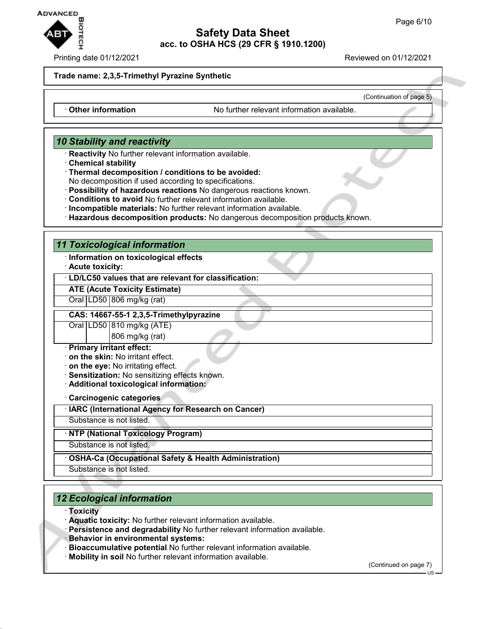

#### Printing date 01/12/2021 Reviewed on 01/12/2021

(Continuation of page 5)

#### **Trade name: 2,3,5-Trimethyl Pyrazine Synthetic**

· **Other information** No further relevant information available.

## *10 Stability and reactivity*

- · **Reactivity** No further relevant information available.
- · **Chemical stability**
- · **Thermal decomposition / conditions to be avoided:**

No decomposition if used according to specifications.

- · **Possibility of hazardous reactions** No dangerous reactions known.
- · **Conditions to avoid** No further relevant information available.
- · **Incompatible materials:** No further relevant information available.
- · **Hazardous decomposition products:** No dangerous decomposition products known.

#### *11 Toxicological information*

- · **Information on toxicological effects**
- · **Acute toxicity:**

## · **LD/LC50 values that are relevant for classification:**

## **ATE (Acute Toxicity Estimate)**

Oral | LD50 | 806 mg/kg (rat)

### **CAS: 14667-55-1 2,3,5-Trimethylpyrazine**

Oral | LD50 | 810 mg/kg (ATE)

806 mg/kg (rat)

- · **Primary irritant effect:**
- · **on the skin:** No irritant effect.
- · **on the eye:** No irritating effect.
- · **Sensitization:** No sensitizing effects known.
- · **Additional toxicological information:**

· **Carcinogenic categories**

· **IARC (International Agency for Research on Cancer)**

Substance is not listed.

· **NTP (National Toxicology Program)**

Substance is not listed.

· **OSHA-Ca (Occupational Safety & Health Administration)**

Substance is not listed.

## *12 Ecological information*

#### · **Toxicity**

- · **Aquatic toxicity:** No further relevant information available.
- · **Persistence and degradability** No further relevant information available.
- · **Behavior in environmental systems:**
- · **Bioaccumulative potential** No further relevant information available.
- · **Mobility in soil** No further relevant information available.

(Continued on page 7)

US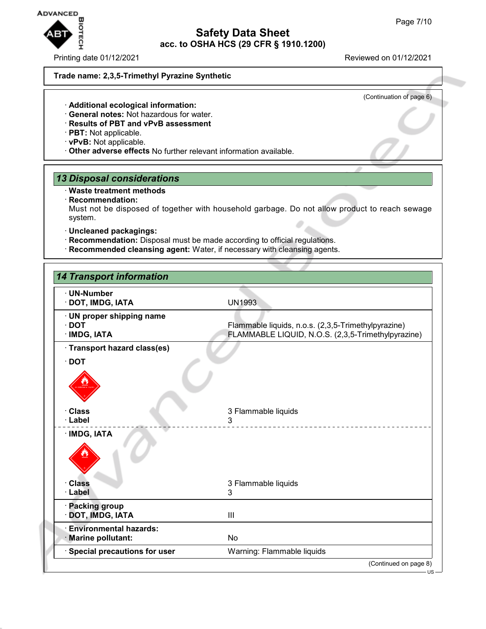# **ADVANCED**  $\blacksquare$ **OTECH**

Printing date 01/12/2021 Reviewed on 01/12/2021

(Continuation of page 6)

#### **Trade name: 2,3,5-Trimethyl Pyrazine Synthetic**

- · **Additional ecological information:**
- · **General notes:** Not hazardous for water.
- · **Results of PBT and vPvB assessment**
- · **PBT:** Not applicable.
- · **vPvB:** Not applicable.
- · **Other adverse effects** No further relevant information available.

## *13 Disposal considerations*

- · **Waste treatment methods**
- · **Recommendation:**

Must not be disposed of together with household garbage. Do not allow product to reach sewage system.

**Safety Data Sheet acc. to OSHA HCS (29 CFR § 1910.1200)**

- · **Uncleaned packagings:**
- · **Recommendation:** Disposal must be made according to official regulations.
- · **Recommended cleansing agent:** Water, if necessary with cleansing agents.

| <b>14 Transport information</b>                          |                                                                                                           |
|----------------------------------------------------------|-----------------------------------------------------------------------------------------------------------|
| · UN-Number<br>· DOT, IMDG, IATA                         | <b>UN1993</b>                                                                                             |
| · UN proper shipping name<br>$\cdot$ DOT<br>· IMDG, IATA | Flammable liquids, n.o.s. (2,3,5-Trimethylpyrazine)<br>FLAMMABLE LIQUID, N.O.S. (2,3,5-Trimethylpyrazine) |
| · Transport hazard class(es)                             |                                                                                                           |
| $\cdot$ DOT                                              |                                                                                                           |
| · Class<br>· Label                                       | 3 Flammable liquids<br>3                                                                                  |
| · IMDG, IATA                                             |                                                                                                           |
| <b>Class</b>                                             | 3 Flammable liquids                                                                                       |
| · Label                                                  | 3                                                                                                         |
| · Packing group<br>DOT, IMDG, IATA                       | III                                                                                                       |
| <b>Environmental hazards:</b><br>· Marine pollutant:     | No                                                                                                        |
| <b>Special precautions for user</b>                      | Warning: Flammable liquids                                                                                |
|                                                          | (Continued on page 8)                                                                                     |

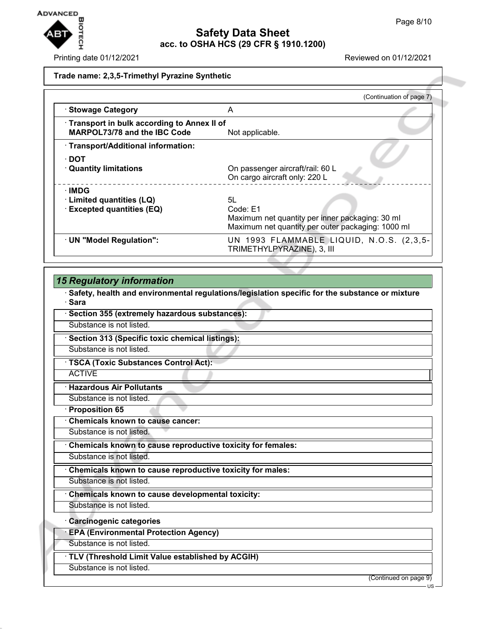

#### Printing date 01/12/2021 Reviewed on 01/12/2021

#### **Trade name: 2,3,5-Trimethyl Pyrazine Synthetic**

|                                                                                   | (Continuation of page 7)                                                                                               |
|-----------------------------------------------------------------------------------|------------------------------------------------------------------------------------------------------------------------|
| · Stowage Category                                                                | A                                                                                                                      |
| Transport in bulk according to Annex II of<br><b>MARPOL73/78 and the IBC Code</b> | Not applicable.                                                                                                        |
| · Transport/Additional information:                                               |                                                                                                                        |
| ∙ DOT<br><b>Quantity limitations</b>                                              | On passenger aircraft/rail: 60 L<br>On cargo aircraft only: 220 L                                                      |
| ∙IMDG<br>· Limited quantities (LQ)<br><b>Excepted quantities (EQ)</b>             | 5L<br>Code: E1<br>Maximum net quantity per inner packaging: 30 ml<br>Maximum net quantity per outer packaging: 1000 ml |
| · UN "Model Regulation":                                                          | UN 1993 FLAMMABLE LIQUID, N.O.S. (2,3,5-<br>TRIMETHYLPYRAZINE), 3, III                                                 |

## *15 Regulatory information*

· **Safety, health and environmental regulations/legislation specific for the substance or mixture** · **Sara**

· **Section 355 (extremely hazardous substances):**

Substance is not listed.

· **Section 313 (Specific toxic chemical listings):**

Substance is not listed.

· **TSCA (Toxic Substances Control Act):**

ACTIVE

· **Hazardous Air Pollutants**

Substance is not listed.

· **Proposition 65**

· **Chemicals known to cause cancer:**

Substance is not listed.

· **Chemicals known to cause reproductive toxicity for females:**

Substance is not listed.

· **Chemicals known to cause reproductive toxicity for males:**

Substance is not listed.

· **Chemicals known to cause developmental toxicity:**

Substance is not listed.

· **Carcinogenic categories**

· **EPA (Environmental Protection Agency)**

Substance is not listed.

· **TLV (Threshold Limit Value established by ACGIH)**

Substance is not listed.

(Continued on page 9)

US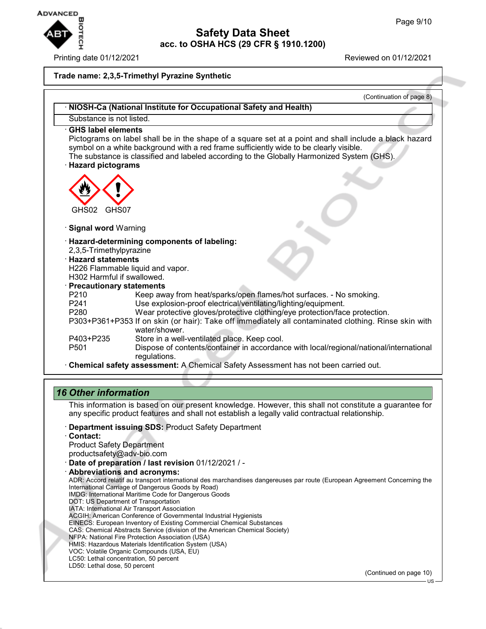

Printing date 01/12/2021 Reviewed on 01/12/2021

# **Safety Data Sheet acc. to OSHA HCS (29 CFR § 1910.1200)**

#### **Trade name: 2,3,5-Trimethyl Pyrazine Synthetic**

|                                                        | · NIOSH-Ca (National Institute for Occupational Safety and Health)                                                                                                                                                                                                                            |
|--------------------------------------------------------|-----------------------------------------------------------------------------------------------------------------------------------------------------------------------------------------------------------------------------------------------------------------------------------------------|
| Substance is not listed.                               |                                                                                                                                                                                                                                                                                               |
| ⋅ GHS label elements<br>· Hazard pictograms            | Pictograms on label shall be in the shape of a square set at a point and shall include a black hazard<br>symbol on a white background with a red frame sufficiently wide to be clearly visible.<br>The substance is classified and labeled according to the Globally Harmonized System (GHS). |
|                                                        |                                                                                                                                                                                                                                                                                               |
| GHS02<br>GHS07                                         |                                                                                                                                                                                                                                                                                               |
| · Signal word Warning                                  |                                                                                                                                                                                                                                                                                               |
| 2,3,5-Trimethylpyrazine                                | · Hazard-determining components of labeling:                                                                                                                                                                                                                                                  |
| <b>Hazard statements</b><br>H302 Harmful if swallowed. | H226 Flammable liquid and vapor.                                                                                                                                                                                                                                                              |
| · Precautionary statements<br>P <sub>210</sub>         | Keep away from heat/sparks/open flames/hot surfaces. - No smoking.                                                                                                                                                                                                                            |
| P <sub>241</sub><br>P280                               | Use explosion-proof electrical/ventilating/lighting/equipment.<br>Wear protective gloves/protective clothing/eye protection/face protection.                                                                                                                                                  |
|                                                        | P303+P361+P353 If on skin (or hair): Take off immediately all contaminated clothing. Rinse skin with<br>water/shower.                                                                                                                                                                         |
| P403+P235                                              | Store in a well-ventilated place. Keep cool.                                                                                                                                                                                                                                                  |
| P <sub>501</sub>                                       | Dispose of contents/container in accordance with local/regional/national/international<br>regulations.                                                                                                                                                                                        |

## *16 Other information*

This information is based on our present knowledge. However, this shall not constitute a guarantee for any specific product features and shall not establish a legally valid contractual relationship.

- · **Department issuing SDS:** Product Safety Department
- · **Contact:**

Product Safety Department productsafety@adv-bio.com

- · **Date of preparation / last revision** 01/12/2021 / -
- · **Abbreviations and acronyms:** ADR: Accord relatif au transport international des marchandises dangereuses par route (European Agreement Concerning the International Carriage of Dangerous Goods by Road) IMDG: International Maritime Code for Dangerous Goods DOT: US Department of Transportation IATA: International Air Transport Association ACGIH: American Conference of Governmental Industrial Hygienists EINECS: European Inventory of Existing Commercial Chemical Substances CAS: Chemical Abstracts Service (division of the American Chemical Society) NFPA: National Fire Protection Association (USA) HMIS: Hazardous Materials Identification System (USA) VOC: Volatile Organic Compounds (USA, EU) LC50: Lethal concentration, 50 percent LD50: Lethal dose, 50 percent (Continued on page 10)

US